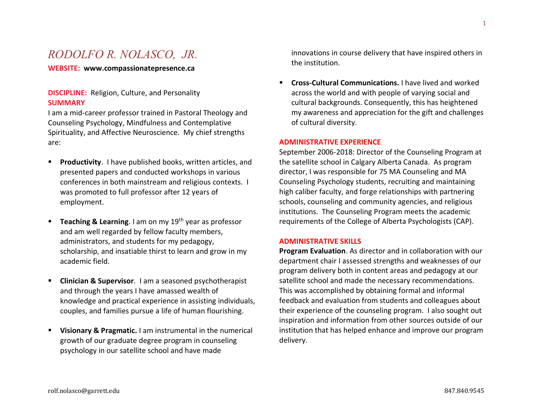# *RODOLFO R. NOLASCO, JR.*

**WEBSITE: www.compassionatepresence.ca**

# **DISCIPLINE:** Religion, Culture, and Personality **SUMMARY**

I am a mid-career professor trained in Pastoral Theology and Counseling Psychology, Mindfulness and Contemplative Spirituality, and Affective Neuroscience. My chief strengths are:

- **Productivity**. I have published books, written articles, and presented papers and conducted workshops in various conferences in both mainstream and religious contexts. I was promoted to full professor after 12 years of employment.
- **E** Teaching & Learning. I am on my 19<sup>th</sup> year as professor and am well regarded by fellow faculty members, administrators, and students for my pedagogy, scholarship, and insatiable thirst to learn and grow in my academic field.
- **Clinician & Supervisor**. I am a seasoned psychotherapist and through the years I have amassed wealth of knowledge and practical experience in assisting individuals, couples, and families pursue a life of human flourishing.
- **Visionary & Pragmatic.** I am instrumental in the numerical growth of our graduate degree program in counseling psychology in our satellite school and have made

innovations in course delivery that have inspired others in the institution.

▪ **Cross-Cultural Communications.** I have lived and worked across the world and with people of varying social and cultural backgrounds. Consequently, this has heightened my awareness and appreciation for the gift and challenges of cultural diversity.

#### **ADMINISTRATIVE EXPERIENCE**

September 2006-2018: Director of the Counseling Program at the satellite school in Calgary Alberta Canada. As program director, I was responsible for 75 MA Counseling and MA Counseling Psychology students, recruiting and maintaining high caliber faculty, and forge relationships with partnering schools, counseling and community agencies, and religious institutions. The Counseling Program meets the academic requirements of the College of Alberta Psychologists (CAP).

#### **ADMINISTRATIVE SKILLS**

**Program Evaluation**. As director and in collaboration with our department chair I assessed strengths and weaknesses of our program delivery both in content areas and pedagogy at our satellite school and made the necessary recommendations. This was accomplished by obtaining formal and informal feedback and evaluation from students and colleagues about their experience of the counseling program. I also sought out inspiration and information from other sources outside of our institution that has helped enhance and improve our program delivery.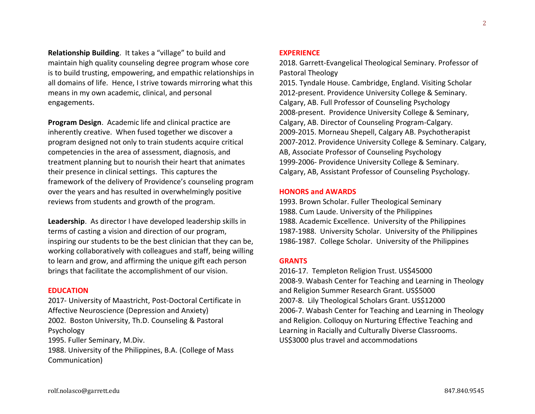**Relationship Building**. It takes a "village" to build and maintain high quality counseling degree program whose core is to build trusting, empowering, and empathic relationships in all domains of life. Hence, I strive towards mirroring what this means in my own academic, clinical, and personal engagements.

**Program Design**. Academic life and clinical practice are inherently creative. When fused together we discover a program designed not only to train students acquire critical competencies in the area of assessment, diagnosis, and treatment planning but to nourish their heart that animates their presence in clinical settings. This captures the framework of the delivery of Providence's counseling program over the years and has resulted in overwhelmingly positive reviews from students and growth of the program.

**Leadership**. As director I have developed leadership skills in terms of casting a vision and direction of our program, inspiring our students to be the best clinician that they can be, working collaboratively with colleagues and staff, being willing to learn and grow, and affirming the unique gift each person brings that facilitate the accomplishment of our vision.

#### **EDUCATION**

2017- University of Maastricht, Post-Doctoral Certificate in Affective Neuroscience (Depression and Anxiety) 2002. Boston University, Th.D. Counseling & Pastoral Psychology 1995. Fuller Seminary, M.Div. 1988. University of the Philippines, B.A. (College of Mass Communication)

#### **EXPERIENCE**

2018. Garrett-Evangelical Theological Seminary. Professor of Pastoral Theology

2015. Tyndale House. Cambridge, England. Visiting Scholar 2012-present. Providence University College & Seminary. Calgary, AB. Full Professor of Counseling Psychology 2008-present. Providence University College & Seminary, Calgary, AB. Director of Counseling Program-Calgary. 2009-2015. Morneau Shepell, Calgary AB. Psychotherapist 2007-2012. Providence University College & Seminary. Calgary, AB, Associate Professor of Counseling Psychology 1999-2006- Providence University College & Seminary. Calgary, AB, Assistant Professor of Counseling Psychology.

# **HONORS and AWARDS**

1993. Brown Scholar. Fuller Theological Seminary 1988. Cum Laude. University of the Philippines 1988. Academic Excellence. University of the Philippines 1987-1988. University Scholar. University of the Philippines 1986-1987. College Scholar. University of the Philippines

# **GRANTS**

2016-17. Templeton Religion Trust. US\$45000 2008-9. Wabash Center for Teaching and Learning in Theology and Religion Summer Research Grant. US\$5000 2007-8. Lily Theological Scholars Grant. US\$12000 2006-7. Wabash Center for Teaching and Learning in Theology and Religion. Colloquy on Nurturing Effective Teaching and Learning in Racially and Culturally Diverse Classrooms. US\$3000 plus travel and accommodations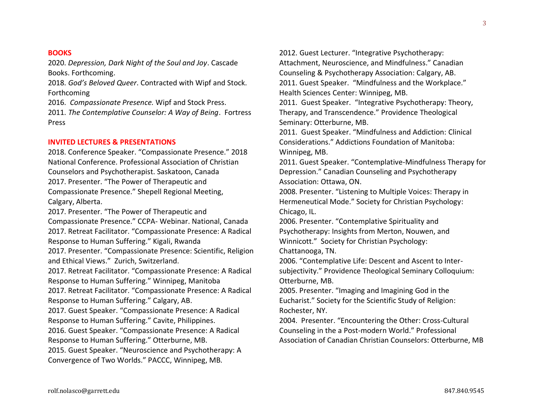**BOOKS**

2020. *Depression, Dark Night of the Soul and Joy*. Cascade Books. Forthcoming.

2018. *God's Beloved Queer*. Contracted with Wipf and Stock. Forthcoming

2016. *Compassionate Presence.* Wipf and Stock Press.

2011. *The Contemplative Counselor: A Way of Being*. Fortress Press

# **INVITED LECTURES & PRESENTATIONS**

2018. Conference Speaker. "Compassionate Presence." 2018 National Conference. Professional Association of Christian Counselors and Psychotherapist. Saskatoon, Canada 2017. Presenter. "The Power of Therapeutic and Compassionate Presence." Shepell Regional Meeting, Calgary, Alberta.

2017. Presenter. "The Power of Therapeutic and Compassionate Presence." CCPA- Webinar. National, Canada 2017. Retreat Facilitator. "Compassionate Presence: A Radical Response to Human Suffering." Kigali, Rwanda 2017. Presenter. "Compassionate Presence: Scientific, Religion and Ethical Views." Zurich, Switzerland. 2017. Retreat Facilitator. "Compassionate Presence: A Radical Response to Human Suffering." Winnipeg, Manitoba 2017. Retreat Facilitator. "Compassionate Presence: A Radical Response to Human Suffering." Calgary, AB. 2017. Guest Speaker. "Compassionate Presence: A Radical Response to Human Suffering." Cavite, Philippines.

2016. Guest Speaker. "Compassionate Presence: A Radical Response to Human Suffering." Otterburne, MB.

2015. Guest Speaker. "Neuroscience and Psychotherapy: A Convergence of Two Worlds." PACCC, Winnipeg, MB.

2012. Guest Lecturer. "Integrative Psychotherapy: Attachment, Neuroscience, and Mindfulness." Canadian Counseling & Psychotherapy Association: Calgary, AB. 2011. Guest Speaker. "Mindfulness and the Workplace." Health Sciences Center: Winnipeg, MB.

2011. Guest Speaker. "Integrative Psychotherapy: Theory, Therapy, and Transcendence." Providence Theological Seminary: Otterburne, MB.

2011. Guest Speaker. "Mindfulness and Addiction: Clinical Considerations." Addictions Foundation of Manitoba: Winnipeg, MB.

2011. Guest Speaker. "Contemplative-Mindfulness Therapy for Depression." Canadian Counseling and Psychotherapy Association: Ottawa, ON.

2008. Presenter. "Listening to Multiple Voices: Therapy in Hermeneutical Mode." Society for Christian Psychology: Chicago, IL.

2006. Presenter. "Contemplative Spirituality and Psychotherapy: Insights from Merton, Nouwen, and Winnicott." Society for Christian Psychology:

Chattanooga, TN.

2006. "Contemplative Life: Descent and Ascent to Intersubjectivity." Providence Theological Seminary Colloquium: Otterburne, MB.

2005. Presenter. "Imaging and Imagining God in the Eucharist." Society for the Scientific Study of Religion: Rochester, NY.

2004. Presenter. "Encountering the Other: Cross-Cultural Counseling in the a Post-modern World." Professional Association of Canadian Christian Counselors: Otterburne, MB